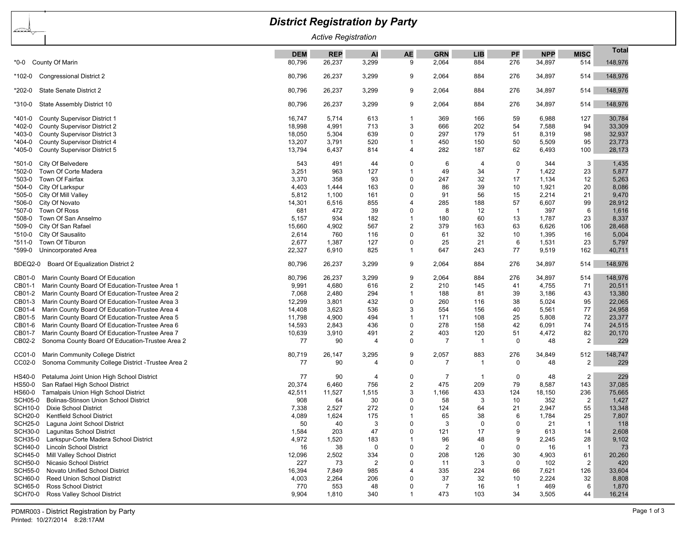| <b>District Registration by Party</b>                                                                                |                  |                |                |                |                         |            |                    |                |                       |                  |  |
|----------------------------------------------------------------------------------------------------------------------|------------------|----------------|----------------|----------------|-------------------------|------------|--------------------|----------------|-----------------------|------------------|--|
| <u>bardan j</u><br><b>Active Registration</b>                                                                        |                  |                |                |                |                         |            |                    |                |                       |                  |  |
|                                                                                                                      | <b>DEM</b>       | <b>REP</b>     | <b>AI</b>      | <b>AE</b>      | <b>GRN</b>              | <b>LIB</b> | PF                 | <b>NPP</b>     | <b>MISC</b>           | <b>Total</b>     |  |
| County Of Marin<br>*0-0                                                                                              | 80,796           | 26,237         | 3,299          | 9              | 2,064                   | 884        | 276                | 34,897         | 514                   | 148,976          |  |
| <b>Congressional District 2</b><br>*102-0                                                                            | 80,796           | 26,237         | 3,299          | 9              | 2,064                   | 884        | 276                | 34,897         | 514                   | 148,976          |  |
| State Senate District 2<br>*202-0                                                                                    | 80,796           | 26,237         | 3,299          | 9              | 2,064                   | 884        | 276                | 34,897         | 514                   | 148,976          |  |
| State Assembly District 10<br>*310-0                                                                                 | 80,796           | 26,237         | 3,299          | 9              | 2,064                   | 884        | 276                | 34,897         | 514                   | 148,976          |  |
| <b>County Supervisor District 1</b><br>*401-0                                                                        | 16,747           | 5,714          | 613            | -1             | 369                     | 166        | 59                 | 6,988          | 127                   | 30,784           |  |
| <b>County Supervisor District 2</b><br>*402-0                                                                        | 18,998           | 4,991          | 713            | 3              | 666                     | 202        | 54                 | 7,588          | 94                    | 33,309           |  |
| <b>County Supervisor District 3</b><br>*403-0                                                                        | 18,050           | 5,304          | 639            | 0              | 297                     | 179        | 51                 | 8,319          | 98                    | 32,937           |  |
| County Supervisor District 4<br>*404-0                                                                               | 13,207           | 3,791          | 520            | -1             | 450                     | 150        | 50                 | 5,509          | 95                    | 23,773           |  |
| County Supervisor District 5<br>*405-0                                                                               | 13,794           | 6,437          | 814            | $\overline{4}$ | 282                     | 187        | 62                 | 6,493          | 100                   | 28,173           |  |
| City Of Belvedere<br>*501-0                                                                                          | 543              | 491            | 44             | $\Omega$       | 6                       | 4          | 0                  | 344            | 3                     | 1,435            |  |
| Town Of Corte Madera<br>*502-0                                                                                       | 3,251            | 963            | 127            | -1             | 49                      | 34         | $\overline{7}$     | 1,422          | 23                    | 5,877            |  |
| Town Of Fairfax<br>*503-0                                                                                            | 3,370            | 358            | 93             | $\Omega$       | 247                     | 32         | 17                 | 1,134          | 12                    | 5,263            |  |
| City Of Larkspur<br>*504-0                                                                                           | 4,403            | 1,444          | 163            | $\Omega$       | 86                      | 39         | 10                 | 1,921          | 20                    | 8,086            |  |
| *505-0<br>City Of Mill Valley                                                                                        | 5,812            | 1,100          | 161            | $\Omega$       | 91                      | 56         | 15                 | 2,214          | 21                    | 9,470            |  |
| City Of Novato<br>*506-0                                                                                             | 14,301           | 6,516          | 855            | $\overline{4}$ | 285                     | 188        | 57                 | 6,607          | 99                    | 28,912           |  |
| Town Of Ross<br>*507-0                                                                                               | 681              | 472            | 39             | $\Omega$       | 8                       | 12         | -1                 | 397            | 6                     | 1,616            |  |
| Town Of San Anselmo<br>*508-0<br>*509-0                                                                              | 5,157            | 934<br>4,902   | 182<br>567     | -1<br>2        | 180<br>379              | 60<br>163  | 13<br>63           | 1,787<br>6,626 | 23                    | 8,337            |  |
| City Of San Rafael<br>City Of Sausalito<br>*510-0                                                                    | 15,660<br>2,614  | 760            | 116            | $\Omega$       | 61                      | 32         | 10                 | 1,395          | 106<br>16             | 28,468<br>5,004  |  |
| Town Of Tiburon<br>*511-0                                                                                            | 2,677            | 1,387          | 127            | $\Omega$       | 25                      | 21         | 6                  | 1,531          | 23                    | 5,797            |  |
| Unincorporated Area<br>*599-0                                                                                        | 22,327           | 6,910          | 825            | -1             | 647                     | 243        | 77                 | 9,519          | 162                   | 40,711           |  |
|                                                                                                                      |                  |                |                |                |                         |            |                    |                |                       |                  |  |
| Board Of Equalization District 2<br>BDEQ2-0                                                                          | 80,796           | 26,237         | 3,299          | 9              | 2,064                   | 884        | 276                | 34,897         | 514                   | 148,976          |  |
| Marin County Board Of Education<br>CB01-0                                                                            | 80,796           | 26,237         | 3,299          | 9              | 2,064                   | 884        | 276                | 34,897         | 514                   | 148,976          |  |
| Marin County Board Of Education-Trustee Area 1<br>CB01-1                                                             | 9,991            | 4,680          | 616            | 2              | 210                     | 145        | 41                 | 4,755          | 71                    | 20,511           |  |
| Marin County Board Of Education-Trustee Area 2<br>CB01-2                                                             | 7,068            | 2,480          | 294            | -1             | 188                     | 81         | 39                 | 3,186          | 43                    | 13,380           |  |
| Marin County Board Of Education-Trustee Area 3<br>CB01-3                                                             | 12,299           | 3,801          | 432            | $\Omega$       | 260                     | 116        | 38                 | 5,024          | 95                    | 22,065           |  |
| Marin County Board Of Education-Trustee Area 4<br>CB01-4                                                             | 14,408           | 3,623          | 536            | 3              | 554                     | 156        | 40                 | 5,561          | 77                    | 24,958           |  |
| CB01-5<br>Marin County Board Of Education-Trustee Area 5<br>Marin County Board Of Education-Trustee Area 6<br>CB01-6 | 11,798<br>14,593 | 4,900<br>2,843 | 494<br>436     | -1<br>0        | 171<br>278              | 108<br>158 | 25<br>42           | 5,808<br>6,091 | 72<br>74              | 23,377<br>24,515 |  |
| CB01-7<br>Marin County Board Of Education-Trustee Area 7                                                             | 10,639           | 3,910          | 491            | $\overline{2}$ | 403                     | 120        | 51                 | 4,472          | 82                    | 20,170           |  |
| Sonoma County Board Of Education-Trustee Area 2<br>CB02-2                                                            | 77               | 90             | 4              | 0              | 7                       | - 1        | $\mathbf 0$        | 48             | $\overline{2}$        | 229              |  |
|                                                                                                                      |                  |                |                |                |                         |            |                    |                |                       |                  |  |
| Marin Community College District<br>CC01-0<br>Sonoma Community College District - Trustee Area 2<br>CC02-0           | 80,719<br>77     | 26,147<br>90   | 3,295<br>4     | 9<br>0         | 2,057<br>$\overline{7}$ | 883<br>-1  | 276<br>$\mathbf 0$ | 34,849<br>48   | 512<br>$\overline{2}$ | 148,747<br>229   |  |
|                                                                                                                      |                  |                |                |                |                         |            |                    |                |                       |                  |  |
| Petaluma Joint Union High School District<br>HS40-0                                                                  | 77               | 90             | 4              | $\Omega$       | 7                       | -1         | 0                  | 48             | $\overline{2}$        | 229              |  |
| San Rafael High School District<br>HS50-0<br>Tamalpais Union High School District                                    | 20,374           | 6,460          | 756            | 2<br>3         | 475                     | 209        | 79                 | 8,587          | 143                   | 37,085           |  |
| HS60-0<br>SCH05-0<br><b>Bolinas-Stinson Union School District</b>                                                    | 42,511<br>908    | 11,527<br>64   | 1,515<br>30    | $\Omega$       | 1,166<br>58             | 433<br>3   | 124<br>10          | 18,150<br>352  | 236<br>$\overline{2}$ | 75,665<br>1,427  |  |
| <b>SCH10-0</b><br>Dixie School District                                                                              | 7,338            | 2,527          | 272            | 0              | 124                     | 64         | 21                 | 2,947          | 55                    | 13,348           |  |
| <b>SCH20-0</b><br><b>Kentfield School District</b>                                                                   | 4,089            | 1,624          | 175            |                | 65                      | 38         | 6                  | 1,784          | 25                    | 7,807            |  |
| <b>SCH25-0</b><br>Laguna Joint School District                                                                       | 50               | 40             | 3              | $\Omega$       | 3                       | $\Omega$   | $\Omega$           | 21             | $\overline{1}$        | 118              |  |
| <b>SCH30-0</b><br>Lagunitas School District                                                                          | 1,584            | 203            | 47             | $\Omega$       | 121                     | 17         | 9                  | 613            | 14                    | 2,608            |  |
| <b>SCH35-0</b><br>Larkspur-Corte Madera School District                                                              | 4,972            | 1,520          | 183            |                | 96                      | 48         | 9                  | 2,245          | 28                    | 9,102            |  |
| <b>SCH40-0</b><br><b>Lincoln School District</b>                                                                     | 16               | 38             | $\mathbf 0$    | 0              | $\overline{2}$          | 0          | 0                  | 16             | $\overline{1}$        | 73               |  |
| <b>SCH45-0</b><br>Mill Valley School District                                                                        | 12,096           | 2,502          | 334            | $\Omega$       | 208                     | 126        | 30                 | 4,903          | 61                    | 20,260           |  |
| <b>SCH50-0</b><br>Nicasio School District                                                                            | 227              | 73             | $\overline{c}$ | $\Omega$       | 11                      | 3          | 0                  | 102            | $\overline{2}$        | 420              |  |
| <b>SCH55-0</b><br>Novato Unified School District                                                                     | 16,394           | 7,849          | 985            | $\overline{4}$ | 335                     | 224        | 66                 | 7,621          | 126                   | 33,604           |  |
| <b>SCH60-0</b><br><b>Reed Union School District</b>                                                                  | 4,003            | 2,264          | 206            | 0              | 37                      | 32         | 10                 | 2,224          | 32                    | 8,808            |  |
| <b>SCH65-0</b><br><b>Ross School District</b>                                                                        | 770              | 553            | 48             | 0              | $\overline{7}$          | 16         | $\mathbf{1}$       | 469            | 6                     | 1,870            |  |
| <b>SCH70-0</b><br>Ross Valley School District                                                                        | 9,904            | 1,810          | 340            | -1             | 473                     | 103        | 34                 | 3,505          | 44                    | 16,214           |  |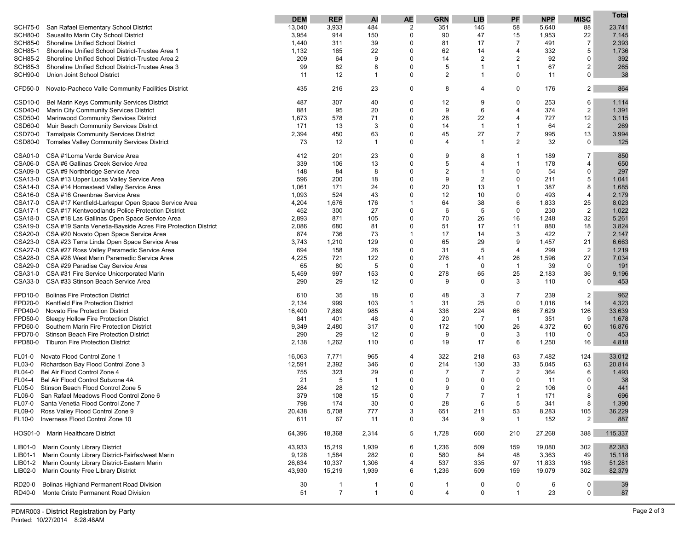|                                                                      | <b>DEM</b> | <b>REP</b>     | AI             | AE          | <b>GRN</b>              | <b>LIB</b>     | PF             | <b>NPP</b> | <b>MISC</b>    | Total   |
|----------------------------------------------------------------------|------------|----------------|----------------|-------------|-------------------------|----------------|----------------|------------|----------------|---------|
| San Rafael Elementary School District<br><b>SCH75-0</b>              | 13,040     | 3,933          | 484            | 2           | 351                     | 145            | 58             | 5,640      | 88             | 23,741  |
| SCH80-0<br>Sausalito Marin City School District                      | 3,954      | 914            | 150            | 0           | 90                      | 47             | 15             | 1,953      | 22             | 7,145   |
| <b>SCH85-0</b><br><b>Shoreline Unified School District</b>           | 1,440      | 311            | 39             | 0           | 81                      | 17             | $\overline{7}$ | 491        | $\overline{7}$ | 2,393   |
| <b>SCH85-1</b><br>Shoreline Unified School District-Trustee Area 1   | 1,132      | 165            | 22             | 0           | 62                      | 14             | 4              | 332        | 5              | 1,736   |
| <b>SCH85-2</b><br>Shoreline Unified School District-Trustee Area 2   | 209        | 64             | 9              | 0           | 14                      | 2              | $\overline{2}$ | 92         | $\mathbf 0$    | 392     |
| <b>SCH85-3</b><br>Shoreline Unified School District-Trustee Area 3   | 99         | 82             | 8              | 0           | 5                       | 1              | 1              | 67         | $\overline{2}$ | 265     |
| <b>SCH90-0</b><br>Union Joint School District                        | 11         | 12             | 1              | 0           | $\overline{\mathbf{c}}$ | 1              | $\Omega$       | 11         | $\mathbf 0$    | 38      |
|                                                                      |            |                |                |             |                         |                |                |            |                |         |
| CFD50-0<br>Novato-Pacheco Valle Community Facilities District        | 435        | 216            | 23             | 0           | 8                       | 4              | 0              | 176        | $\overline{c}$ | 864     |
| Bel Marin Keys Community Services District<br>CSD <sub>10-0</sub>    | 487        | 307            | 40             | 0           | 12                      | 9              | 0              | 253        | 6              | 1,114   |
| CSD40-0<br>Marin City Community Services District                    | 881        | 95             | 20             | $\Omega$    | 9                       | 6              | $\overline{4}$ | 374        | $\sqrt{2}$     | 1,391   |
| Marinwood Community Services District<br>CSD50-0                     | 1,673      | 578            | 71             | 0           | 28                      | 22             | 4              | 727        | 12             | 3,115   |
| Muir Beach Community Services District<br>CSD60-0                    | 171        | 13             | 3              | 0           | 14                      | $\overline{1}$ | 1              | 64         | $\overline{2}$ | 269     |
| CSD70-0<br><b>Tamalpais Community Services District</b>              | 2,394      | 450            | 63             | 0           | 45                      | 27             | $\overline{7}$ | 995        | 13             | 3,994   |
| CSD80-0<br><b>Tomales Valley Community Services District</b>         | 73         | 12             | $\mathbf 1$    | 0           | 4                       | $\mathbf{1}$   | $\overline{2}$ | 32         | 0              | 125     |
| CSA #1Loma Verde Service Area<br>CSA01-0                             | 412        | 201            | 23             | 0           | 9                       | 8              |                | 189        | 7              | 850     |
| CSA06-0<br>CSA #6 Gallinas Creek Service Area                        | 339        | 106            | 13             | 0           | 5                       | 4              | 1              | 178        | 4              | 650     |
| CSA09-0 CSA #9 Northbridge Service Area                              | 148        | 84             | 8              | 0           | 2                       | $\mathbf{1}$   | $\Omega$       | 54         | $\mathbf 0$    | 297     |
| CSA13-0 CSA #13 Upper Lucas Valley Service Area                      | 596        | 200            | 18             | 0           | 9                       | $\overline{c}$ | $\Omega$       | 211        | 5              | 1,041   |
| CSA14-0 CSA #14 Homestead Valley Service Area                        | 1,061      | 171            | 24             | 0           | 20                      | 13             | 1              | 387        | 8              | 1,685   |
| CSA16-0 CSA #16 Greenbrae Service Area                               | 1,093      | 524            | 43             | 0           | 12                      | 10             | $\Omega$       | 493        | 4              | 2,179   |
| CSA17-0 CSA #17 Kentfield-Larkspur Open Space Service Area           | 4,204      | 1,676          | 176            | $\mathbf 1$ | 64                      | 38             | 6              | 1,833      | 25             | 8,023   |
| CSA17-1 CSA #17 Kentwoodlands Police Protection District             | 452        | 300            | 27             | 0           | 6                       | 5              | 0              | 230        | $\overline{2}$ | 1,022   |
| CSA18-0 CSA #18 Las Gallinas Open Space Service Area                 | 2,893      | 871            | 105            | 0           | 70                      | 26             | 16             | 1,248      | 32             | 5,261   |
| CSA19-0 CSA #19 Santa Venetia-Bayside Acres Fire Protection District | 2,086      | 680            | 81             | 0           | 51                      | 17             | 11             | 880        | 18             | 3,824   |
| CSA20-0 CSA #20 Novato Open Space Service Area                       | 874        | 736            | 73             | 1           | 17                      | 14             | 3              | 422        | $\overline{7}$ | 2,147   |
| CSA23-0 CSA #23 Terra Linda Open Space Service Area                  | 3,743      | 1,210          | 129            | 0           | 65                      | 29             | 9              | 1,457      | 21             | 6,663   |
| CSA27-0 CSA #27 Ross Valley Paramedic Service Area                   | 694        | 158            | 26             | 0           | 31                      | 5              | $\overline{4}$ | 299        | $\overline{2}$ | 1,219   |
| CSA28-0 CSA #28 West Marin Paramedic Service Area                    | 4,225      | 721            | 122            | 0           | 276                     | 41             | 26             | 1,596      | 27             | 7,034   |
| CSA29-0 CSA #29 Paradise Cay Service Area                            | 65         | 80             | 5              | 0           | $\mathbf 1$             | 0              | $\mathbf{1}$   | 39         | $\mathbf 0$    | 191     |
| CSA31-0 CSA #31 Fire Service Unicorporated Marin                     | 5,459      | 997            | 153            | 0           | 278                     | 65             | 25             | 2,183      | 36             | 9,196   |
| CSA33-0 CSA #33 Stinson Beach Service Area                           | 290        | 29             | 12             | 0           | 9                       | 0              | 3              | 110        | $\mathbf 0$    | 453     |
|                                                                      |            |                |                |             |                         |                |                |            |                |         |
| <b>Bolinas Fire Protection District</b><br>FPD10-0                   | 610        | 35             | 18             | 0           | 48                      | 3              | $\overline{7}$ | 239        | 2              | 962     |
| FPD20-0<br>Kentfield Fire Protection District                        | 2,134      | 999            | 103            | -1          | 31                      | 25             | $\mathbf 0$    | 1,016      | 14             | 4,323   |
| FPD40-0<br><b>Novato Fire Protection District</b>                    | 16,400     | 7,869          | 985            | 4           | 336                     | 224            | 66             | 7,629      | 126            | 33,639  |
| FPD50-0<br>Sleepy Hollow Fire Protection District                    | 841        | 401            | 48             | 0           | 20                      | 7              | $\mathbf{1}$   | 351        | 9              | 1,678   |
| FPD60-0<br>Southern Marin Fire Protection District                   | 9,349      | 2,480          | 317            | 0           | 172                     | 100            | 26             | 4,372      | 60             | 16,876  |
| FPD70-0<br>Stinson Beach Fire Protection District                    | 290        | 29             | 12             | 0           | 9                       | 0              | 3              | 110        | 0              | 453     |
| <b>Tiburon Fire Protection District</b><br>FPD80-0                   | 2,138      | 1,262          | 110            | 0           | 19                      | 17             | 6              | 1,250      | 16             | 4,818   |
| Novato Flood Control Zone 1<br><b>FL01-0</b>                         | 16,063     | 7,771          | 965            | 4           | 322                     | 218            | 63             | 7,482      | 124            | 33,012  |
| FL03-0<br>Richardson Bay Flood Control Zone 3                        | 12,591     | 2,392          | 346            | 0           | 214                     | 130            | 33             | 5,045      | 63             | 20,814  |
| Bel Air Flood Control Zone 4<br>FL04-0                               | 755        | 323            | 29             | 0           | $\overline{7}$          | $\overline{7}$ | $\overline{2}$ | 364        | 6              | 1,493   |
| Bel Air Flood Control Subzone 4A<br>FL04-4                           | 21         | 5              | $\overline{1}$ | 0           | 0                       | 0              | 0              | 11         | 0              | -38     |
| Stinson Beach Flood Control Zone 5<br>FL05-0                         | 284        | 28             | 12             | 0           | 9                       | 0              | $\overline{2}$ | 106        | 0              | 441     |
| <b>FL06-0</b><br>San Rafael Meadows Flood Control Zone 6             | 379        | 108            | 15             | $\Omega$    | $\overline{7}$          | $\overline{7}$ | 1              | 171        | 8              | 696     |
| FL07-0<br>Santa Venetia Flood Control Zone 7                         | 798        | 174            | 30             | $\Omega$    | 28                      | 6              | 5              | 341        | $\mathbf{R}$   | 1,390   |
| FL09-0<br>Ross Valley Flood Control Zone 9                           | 20,438     | 5,708          | 777            | 3           | 651                     | 211            | 53             | 8,283      | 105            | 36,229  |
| Inverness Flood Control Zone 10<br>FL10-0                            | 611        | 67             | 11             | 0           | 34                      | 9              | $\mathbf{1}$   | 152        | 2              | 887     |
| HOS01-0<br>Marin Healthcare District                                 | 64,396     | 18,368         | 2,314          | 5           | 1,728                   | 660            | 210            | 27,268     | 388            | 115,337 |
|                                                                      |            |                |                |             |                         |                |                |            |                |         |
| Marin County Library District<br>LIB01-0                             | 43,933     | 15,219         | 1,939          | 6           | 1,236                   | 509            | 159            | 19,080     | 302            | 82,383  |
| Marin County Library District-Fairfax/west Marin<br>LIB01-1          | 9,128      | 1,584          | 282            | 0           | 580                     | 84             | 48             | 3,363      | 49             | 15,118  |
| Marin County Library District-Eastern Marin<br>LIB01-2               | 26,634     | 10,337         | 1,306          | 4           | 537                     | 335            | 97             | 11,833     | 198            | 51,281  |
| Marin County Free Library District<br>LIB02-0                        | 43,930     | 15,219         | 1,939          | 6           | 1,236                   | 509            | 159            | 19,079     | 302            | 82,379  |
| Bolinas Highland Permanent Road Division<br>RD20-0                   | 30         | $\mathbf{1}$   | 1              | 0           | -1                      | 0              | 0              | 6          | 0              | 39      |
| Monte Cristo Permanent Road Division<br>RD40-0                       | 51         | $\overline{7}$ | $\mathbf{1}$   | $\mathbf 0$ | 4                       | 0              | $\mathbf{1}$   | 23         | 0              | 87      |
|                                                                      |            |                |                |             |                         |                |                |            |                |         |